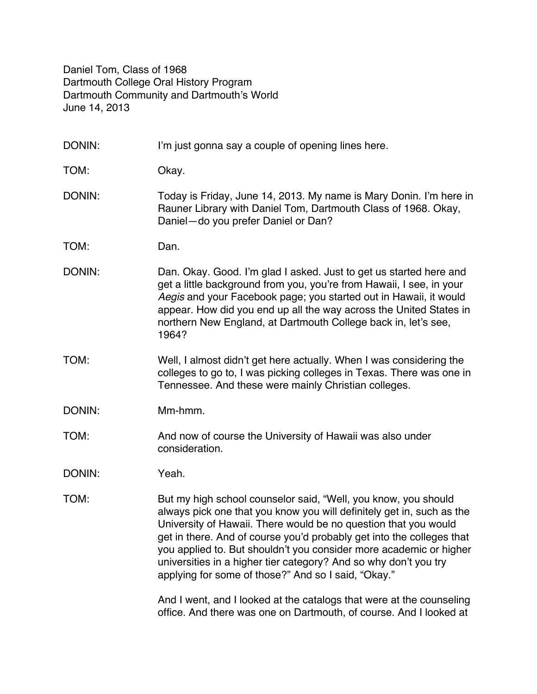Daniel Tom, Class of 1968 Dartmouth College Oral History Program Dartmouth Community and Dartmouth's World June 14, 2013

| DONIN: | I'm just gonna say a couple of opening lines here.                                                                                                                                                                                                                                                                                                                                                                                                                                   |
|--------|--------------------------------------------------------------------------------------------------------------------------------------------------------------------------------------------------------------------------------------------------------------------------------------------------------------------------------------------------------------------------------------------------------------------------------------------------------------------------------------|
| TOM:   | Okay.                                                                                                                                                                                                                                                                                                                                                                                                                                                                                |
| DONIN: | Today is Friday, June 14, 2013. My name is Mary Donin. I'm here in<br>Rauner Library with Daniel Tom, Dartmouth Class of 1968. Okay,<br>Daniel-do you prefer Daniel or Dan?                                                                                                                                                                                                                                                                                                          |
| TOM:   | Dan.                                                                                                                                                                                                                                                                                                                                                                                                                                                                                 |
| DONIN: | Dan. Okay. Good. I'm glad I asked. Just to get us started here and<br>get a little background from you, you're from Hawaii, I see, in your<br>Aegis and your Facebook page; you started out in Hawaii, it would<br>appear. How did you end up all the way across the United States in<br>northern New England, at Dartmouth College back in, let's see,<br>1964?                                                                                                                     |
| TOM:   | Well, I almost didn't get here actually. When I was considering the<br>colleges to go to, I was picking colleges in Texas. There was one in<br>Tennessee. And these were mainly Christian colleges.                                                                                                                                                                                                                                                                                  |
| DONIN: | Mm-hmm.                                                                                                                                                                                                                                                                                                                                                                                                                                                                              |
| TOM:   | And now of course the University of Hawaii was also under<br>consideration.                                                                                                                                                                                                                                                                                                                                                                                                          |
| DONIN: | Yeah.                                                                                                                                                                                                                                                                                                                                                                                                                                                                                |
| TOM:   | But my high school counselor said, "Well, you know, you should<br>always pick one that you know you will definitely get in, such as the<br>University of Hawaii. There would be no question that you would<br>get in there. And of course you'd probably get into the colleges that<br>you applied to. But shouldn't you consider more academic or higher<br>universities in a higher tier category? And so why don't you try<br>applying for some of those?" And so I said, "Okay." |
|        | And I went, and I looked at the catalogs that were at the counseling<br>office. And there was one on Dartmouth, of course. And I looked at                                                                                                                                                                                                                                                                                                                                           |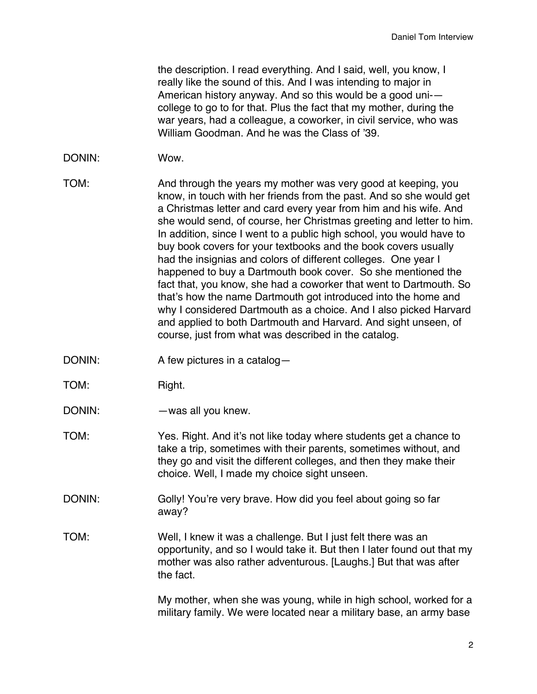the description. I read everything. And I said, well, you know, I really like the sound of this. And I was intending to major in American history anyway. And so this would be a good uni- college to go to for that. Plus the fact that my mother, during the war years, had a colleague, a coworker, in civil service, who was William Goodman. And he was the Class of '39.

#### DONIN: Wow.

- TOM: And through the years my mother was very good at keeping, you know, in touch with her friends from the past. And so she would get a Christmas letter and card every year from him and his wife. And she would send, of course, her Christmas greeting and letter to him. In addition, since I went to a public high school, you would have to buy book covers for your textbooks and the book covers usually had the insignias and colors of different colleges. One year I happened to buy a Dartmouth book cover. So she mentioned the fact that, you know, she had a coworker that went to Dartmouth. So that's how the name Dartmouth got introduced into the home and why I considered Dartmouth as a choice. And I also picked Harvard and applied to both Dartmouth and Harvard. And sight unseen, of course, just from what was described in the catalog.
- DONIN: A few pictures in a catalog-
- TOM: Right.
- DONIN: — was all you knew.
- TOM: Yes. Right. And it's not like today where students get a chance to take a trip, sometimes with their parents, sometimes without, and they go and visit the different colleges, and then they make their choice. Well, I made my choice sight unseen.
- DONIN: Golly! You're very brave. How did you feel about going so far away?
- TOM: Well, I knew it was a challenge. But I just felt there was an opportunity, and so I would take it. But then I later found out that my mother was also rather adventurous. [Laughs.] But that was after the fact.

My mother, when she was young, while in high school, worked for a military family. We were located near a military base, an army base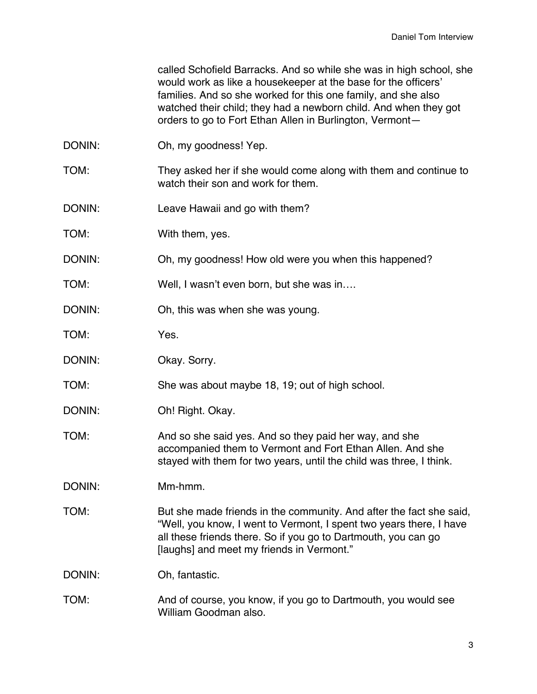called Schofield Barracks. And so while she was in high school, she would work as like a housekeeper at the base for the officers' families. And so she worked for this one family, and she also watched their child; they had a newborn child. And when they got orders to go to Fort Ethan Allen in Burlington, Vermont—

- DONIN: Oh, my goodness! Yep.
- TOM: They asked her if she would come along with them and continue to watch their son and work for them.
- DONIN: Leave Hawaii and go with them?
- TOM: With them, yes.
- DONIN: Oh, my goodness! How old were you when this happened?
- TOM: Well, I wasn't even born, but she was in….
- DONIN: Oh, this was when she was young.
- TOM: Yes.
- DONIN: Okay. Sorry.
- TOM: She was about maybe 18, 19; out of high school.
- DONIN: Oh! Right. Okay.
- TOM: And so she said yes. And so they paid her way, and she accompanied them to Vermont and Fort Ethan Allen. And she stayed with them for two years, until the child was three, I think.
- DONIN: Mm-hmm.
- TOM: But she made friends in the community. And after the fact she said, "Well, you know, I went to Vermont, I spent two years there, I have all these friends there. So if you go to Dartmouth, you can go [laughs] and meet my friends in Vermont."

DONIN: Oh, fantastic.

TOM: And of course, you know, if you go to Dartmouth, you would see William Goodman also.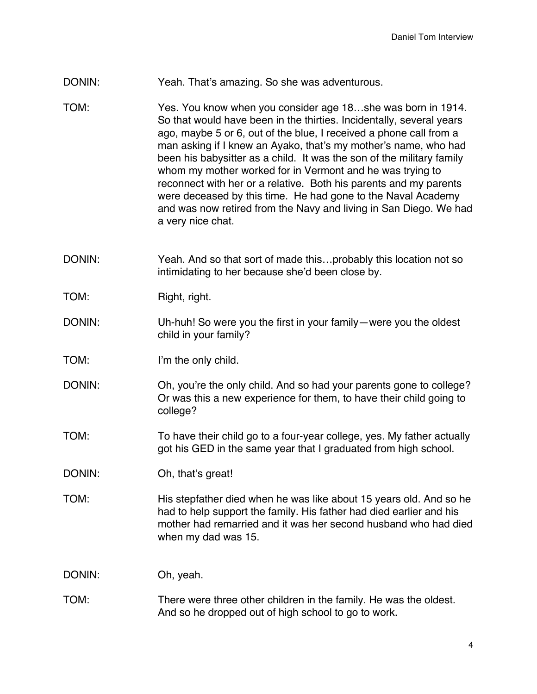- DONIN: Yeah. That's amazing. So she was adventurous.
- TOM: Yes. You know when you consider age 18…she was born in 1914. So that would have been in the thirties. Incidentally, several years ago, maybe 5 or 6, out of the blue, I received a phone call from a man asking if I knew an Ayako, that's my mother's name, who had been his babysitter as a child. It was the son of the military family whom my mother worked for in Vermont and he was trying to reconnect with her or a relative. Both his parents and my parents were deceased by this time. He had gone to the Naval Academy and was now retired from the Navy and living in San Diego. We had a very nice chat.
- DONIN: Yeah. And so that sort of made this...probably this location not so intimidating to her because she'd been close by.
- TOM: Right, right.
- DONIN: Uh-huh! So were you the first in your family—were you the oldest child in your family?
- TOM: I'm the only child.
- DONIN: Oh, you're the only child. And so had your parents gone to college? Or was this a new experience for them, to have their child going to college?
- TOM: To have their child go to a four-year college, yes. My father actually got his GED in the same year that I graduated from high school.
- DONIN: Oh, that's great!
- TOM: His stepfather died when he was like about 15 years old. And so he had to help support the family. His father had died earlier and his mother had remarried and it was her second husband who had died when my dad was 15.

DONIN: Oh, yeah.

## TOM: There were three other children in the family. He was the oldest. And so he dropped out of high school to go to work.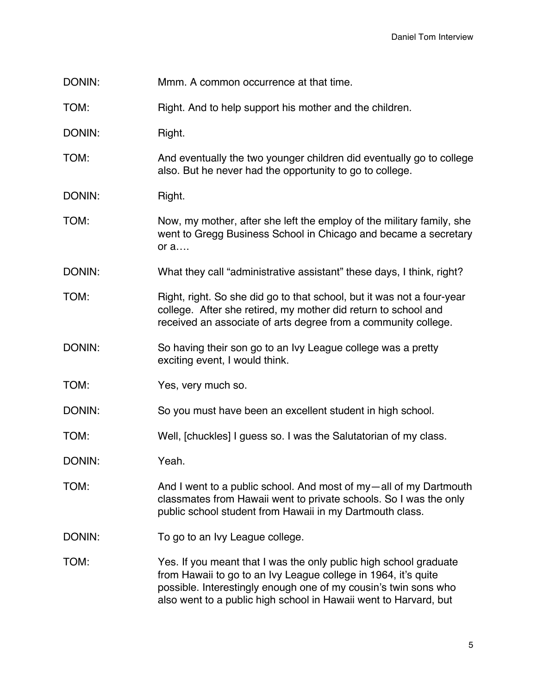- DONIN: Mmm. A common occurrence at that time.
- TOM: Right. And to help support his mother and the children.
- DONIN: Right.
- TOM: And eventually the two younger children did eventually go to college also. But he never had the opportunity to go to college.
- DONIN: Right.
- TOM: Now, my mother, after she left the employ of the military family, she went to Gregg Business School in Chicago and became a secretary or a….
- DONIN: What they call "administrative assistant" these days, I think, right?
- TOM: Right, right. So she did go to that school, but it was not a four-year college. After she retired, my mother did return to school and received an associate of arts degree from a community college.
- DONIN: So having their son go to an Ivy League college was a pretty exciting event, I would think.
- TOM: Yes, very much so.
- DONIN: So you must have been an excellent student in high school.
- TOM: Well, [chuckles] I guess so. I was the Salutatorian of my class.
- DONIN: Yeah.
- TOM: And I went to a public school. And most of my—all of my Dartmouth classmates from Hawaii went to private schools. So I was the only public school student from Hawaii in my Dartmouth class.
- DONIN: To go to an Ivy League college.
- TOM: Yes. If you meant that I was the only public high school graduate from Hawaii to go to an Ivy League college in 1964, it's quite possible. Interestingly enough one of my cousin's twin sons who also went to a public high school in Hawaii went to Harvard, but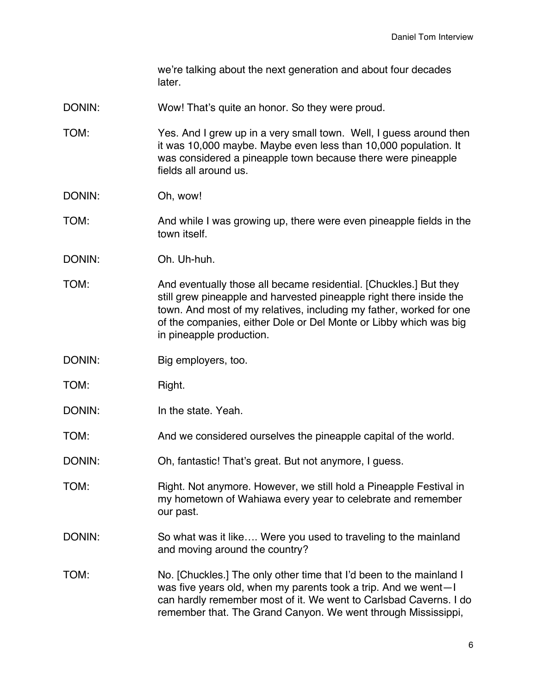we're talking about the next generation and about four decades later.

- DONIN: Wow! That's quite an honor. So they were proud.
- TOM: Yes. And I grew up in a very small town. Well, I guess around then it was 10,000 maybe. Maybe even less than 10,000 population. It was considered a pineapple town because there were pineapple fields all around us.
- DONIN: Oh, wow!

#### TOM: And while I was growing up, there were even pineapple fields in the town itself.

- DONIN: Oh. Uh-huh.
- TOM: And eventually those all became residential. [Chuckles.] But they still grew pineapple and harvested pineapple right there inside the town. And most of my relatives, including my father, worked for one of the companies, either Dole or Del Monte or Libby which was big in pineapple production.
- DONIN: Big employers, too.
- TOM: Right.
- DONIN: In the state. Yeah.
- TOM: And we considered ourselves the pineapple capital of the world.
- DONIN: Oh, fantastic! That's great. But not anymore, I guess.
- TOM: Right. Not anymore. However, we still hold a Pineapple Festival in my hometown of Wahiawa every year to celebrate and remember our past.
- DONIN: So what was it like.... Were you used to traveling to the mainland and moving around the country?
- TOM: No. [Chuckles.] The only other time that I'd been to the mainland I was five years old, when my parents took a trip. And we went—I can hardly remember most of it. We went to Carlsbad Caverns. I do remember that. The Grand Canyon. We went through Mississippi,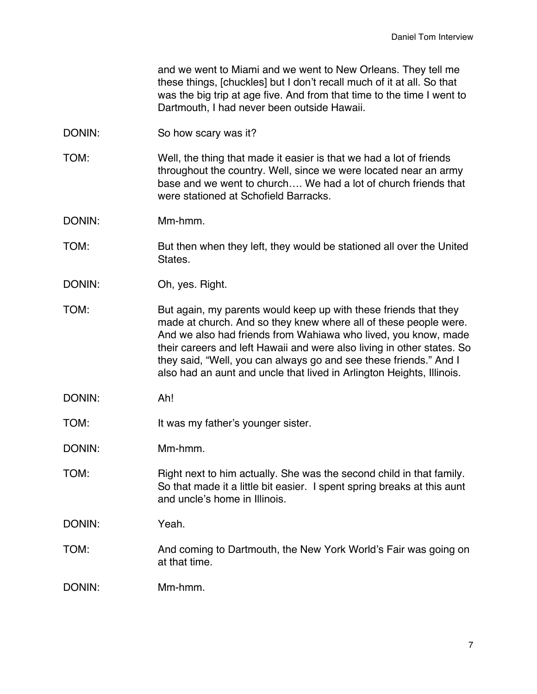and we went to Miami and we went to New Orleans. They tell me these things, [chuckles] but I don't recall much of it at all. So that was the big trip at age five. And from that time to the time I went to Dartmouth, I had never been outside Hawaii.

- DONIN: So how scary was it?
- TOM: Well, the thing that made it easier is that we had a lot of friends throughout the country. Well, since we were located near an army base and we went to church…. We had a lot of church friends that were stationed at Schofield Barracks.
- DONIN: Mm-hmm.
- TOM: But then when they left, they would be stationed all over the United States.
- DONIN: Oh, yes. Right.
- TOM: But again, my parents would keep up with these friends that they made at church. And so they knew where all of these people were. And we also had friends from Wahiawa who lived, you know, made their careers and left Hawaii and were also living in other states. So they said, "Well, you can always go and see these friends." And I also had an aunt and uncle that lived in Arlington Heights, Illinois.
- DONIN: Ah!
- TOM: It was my father's younger sister.
- DONIN: Mm-hmm.
- TOM: Right next to him actually. She was the second child in that family. So that made it a little bit easier. I spent spring breaks at this aunt and uncle's home in Illinois.
- DONIN: Yeah.
- TOM: And coming to Dartmouth, the New York World's Fair was going on at that time.
- DONIN: Mm-hmm.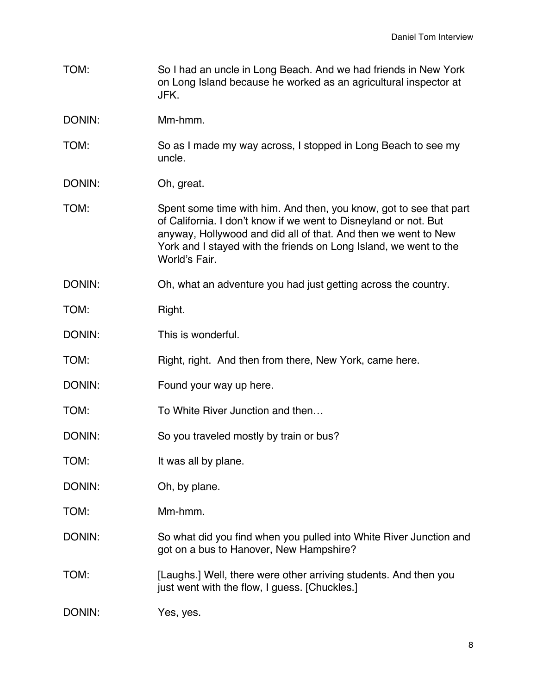- TOM: So I had an uncle in Long Beach. And we had friends in New York on Long Island because he worked as an agricultural inspector at JFK.
- DONIN: Mm-hmm.
- TOM: So as I made my way across, I stopped in Long Beach to see my uncle.
- DONIN: Oh, great.
- TOM: Spent some time with him. And then, you know, got to see that part of California. I don't know if we went to Disneyland or not. But anyway, Hollywood and did all of that. And then we went to New York and I stayed with the friends on Long Island, we went to the World's Fair.
- DONIN: Oh, what an adventure you had just getting across the country.
- TOM: Right.
- DONIN: This is wonderful.
- TOM: Right, right. And then from there, New York, came here.
- DONIN: Found your way up here.
- TOM: To White River Junction and then...
- DONIN: So you traveled mostly by train or bus?
- TOM: It was all by plane.
- DONIN: Oh, by plane.
- TOM: Mm-hmm.
- DONIN: So what did you find when you pulled into White River Junction and got on a bus to Hanover, New Hampshire?
- TOM: [Laughs.] Well, there were other arriving students. And then you just went with the flow, I guess. [Chuckles.]
- DONIN: Yes, yes.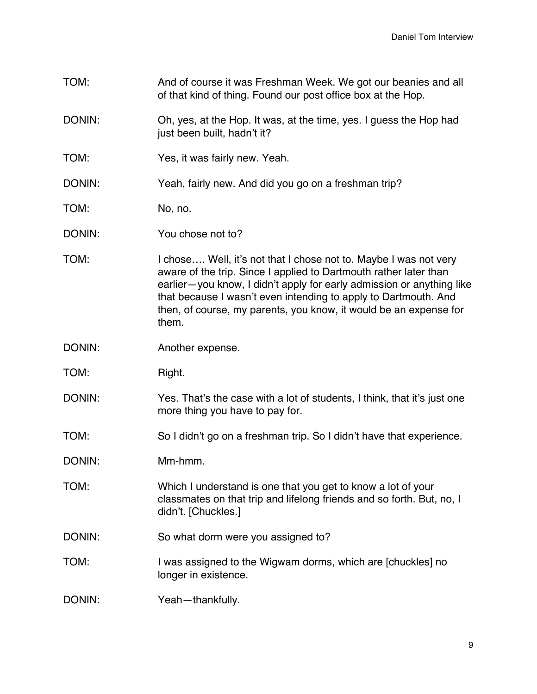- TOM: And of course it was Freshman Week. We got our beanies and all of that kind of thing. Found our post office box at the Hop.
- DONIN: Oh, yes, at the Hop. It was, at the time, yes. I guess the Hop had just been built, hadn't it?
- TOM: Yes, it was fairly new. Yeah.
- DONIN: Yeah, fairly new. And did you go on a freshman trip?
- TOM: No, no.
- DONIN: You chose not to?
- TOM: I chose.... Well, it's not that I chose not to. Maybe I was not very aware of the trip. Since I applied to Dartmouth rather later than earlier—you know, I didn't apply for early admission or anything like that because I wasn't even intending to apply to Dartmouth. And then, of course, my parents, you know, it would be an expense for them.
- DONIN: Another expense.
- TOM: Right.
- DONIN: Yes. That's the case with a lot of students, I think, that it's just one more thing you have to pay for.
- TOM: So I didn't go on a freshman trip. So I didn't have that experience.
- DONIN: Mm-hmm.
- TOM: Which I understand is one that you get to know a lot of your classmates on that trip and lifelong friends and so forth. But, no, I didn't. [Chuckles.]
- DONIN: So what dorm were you assigned to?
- TOM: I was assigned to the Wigwam dorms, which are [chuckles] no longer in existence.
- DONIN: Yeah-thankfully.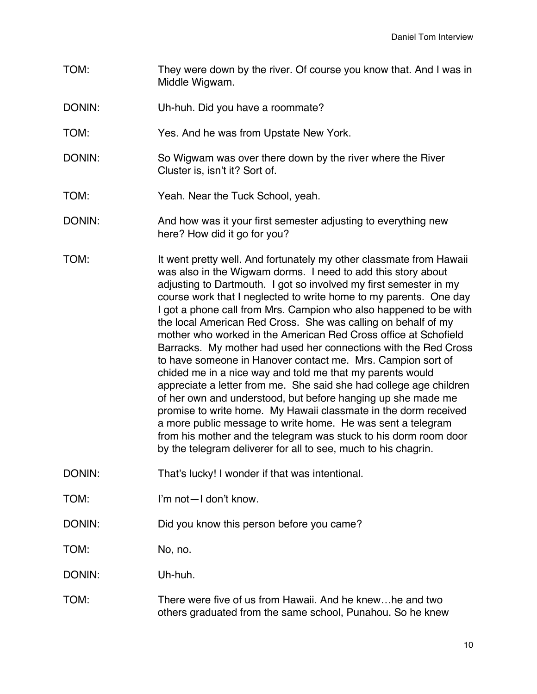- TOM: They were down by the river. Of course you know that. And I was in Middle Wigwam.
- DONIN: Uh-huh. Did you have a roommate?
- TOM: Yes. And he was from Upstate New York.
- DONIN: So Wigwam was over there down by the river where the River Cluster is, isn't it? Sort of.
- TOM: Yeah. Near the Tuck School, yeah.
- DONIN: And how was it your first semester adjusting to everything new here? How did it go for you?
- TOM: It went pretty well. And fortunately my other classmate from Hawaii was also in the Wigwam dorms. I need to add this story about adjusting to Dartmouth. I got so involved my first semester in my course work that I neglected to write home to my parents. One day I got a phone call from Mrs. Campion who also happened to be with the local American Red Cross. She was calling on behalf of my mother who worked in the American Red Cross office at Schofield Barracks. My mother had used her connections with the Red Cross to have someone in Hanover contact me. Mrs. Campion sort of chided me in a nice way and told me that my parents would appreciate a letter from me. She said she had college age children of her own and understood, but before hanging up she made me promise to write home. My Hawaii classmate in the dorm received a more public message to write home. He was sent a telegram from his mother and the telegram was stuck to his dorm room door by the telegram deliverer for all to see, much to his chagrin.
- DONIN: That's lucky! I wonder if that was intentional.
- TOM: I'm not—I don't know.
- DONIN: Did you know this person before you came?

TOM: No, no.

DONIN: Uh-huh.

TOM: There were five of us from Hawaii. And he knew…he and two others graduated from the same school, Punahou. So he knew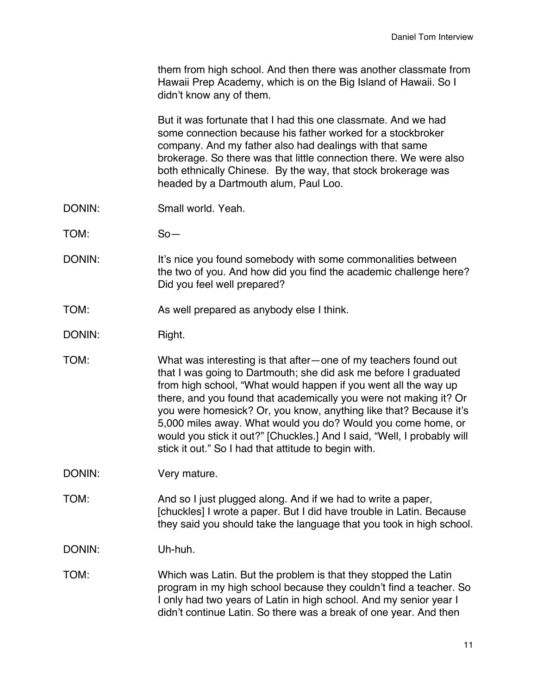them from high school. And then there was another classmate from Hawaii Prep Academy, which is on the Big Island of Hawaii. So I didn't know any of them.

But it was fortunate that I had this one classmate. And we had some connection because his father worked for a stockbroker company. And my father also had dealings with that same brokerage. So there was that little connection there. We were also both ethnically Chinese. By the way, that stock brokerage was headed by a Dartmouth alum, Paul Loo.

- DONIN: Small world. Yeah.
- TOM: So—
- DONIN: It's nice you found somebody with some commonalities between the two of you. And how did you find the academic challenge here? Did you feel well prepared?
- TOM: As well prepared as anybody else I think.
- DONIN: Right.
- TOM: What was interesting is that after—one of my teachers found out that I was going to Dartmouth; she did ask me before I graduated from high school, "What would happen if you went all the way up there, and you found that academically you were not making it? Or you were homesick? Or, you know, anything like that? Because it's 5,000 miles away. What would you do? Would you come home, or would you stick it out?" [Chuckles.] And I said, "Well, I probably will stick it out." So I had that attitude to begin with.
- DONIN: Very mature.
- TOM: And so I just plugged along. And if we had to write a paper, [chuckles] I wrote a paper. But I did have trouble in Latin. Because they said you should take the language that you took in high school.

DONIN: Uh-huh.

TOM: Which was Latin. But the problem is that they stopped the Latin program in my high school because they couldn't find a teacher. So I only had two years of Latin in high school. And my senior year I didn't continue Latin. So there was a break of one year. And then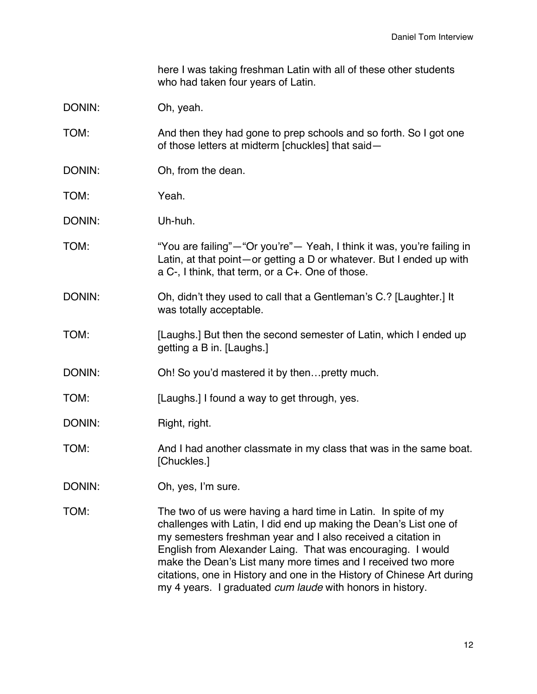here I was taking freshman Latin with all of these other students who had taken four years of Latin.

# DONIN: Oh, yeah.

TOM: And then they had gone to prep schools and so forth. So I got one of those letters at midterm [chuckles] that said—

- DONIN: Oh, from the dean.
- TOM: Yeah.
- DONIN: Uh-huh.
- TOM: "You are failing"—"Or you're"— Yeah, I think it was, you're failing in Latin, at that point—or getting a D or whatever. But I ended up with a C-, I think, that term, or a C+. One of those.
- DONIN: Oh, didn't they used to call that a Gentleman's C.? [Laughter.] It was totally acceptable.
- TOM: [Laughs.] But then the second semester of Latin, which I ended up getting a B in. [Laughs.]
- DONIN: Oh! So you'd mastered it by then...pretty much.
- TOM: [Laughs.] I found a way to get through, yes.
- DONIN: Right, right.

### TOM: And I had another classmate in my class that was in the same boat. [Chuckles.]

- DONIN: Oh, yes, I'm sure.
- TOM: The two of us were having a hard time in Latin. In spite of my challenges with Latin, I did end up making the Dean's List one of my semesters freshman year and I also received a citation in English from Alexander Laing. That was encouraging. I would make the Dean's List many more times and I received two more citations, one in History and one in the History of Chinese Art during my 4 years. I graduated *cum laude* with honors in history.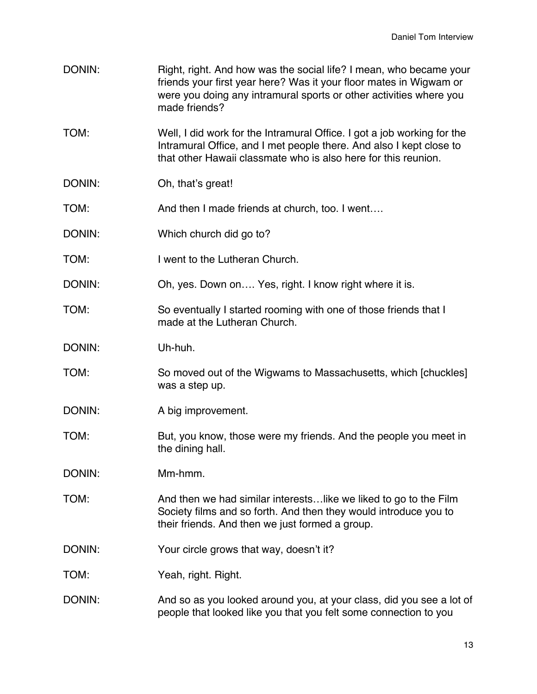| DONIN: | Right, right. And how was the social life? I mean, who became your<br>friends your first year here? Was it your floor mates in Wigwam or<br>were you doing any intramural sports or other activities where you<br>made friends? |
|--------|---------------------------------------------------------------------------------------------------------------------------------------------------------------------------------------------------------------------------------|
| TOM:   | Well, I did work for the Intramural Office. I got a job working for the<br>Intramural Office, and I met people there. And also I kept close to<br>that other Hawaii classmate who is also here for this reunion.                |
| DONIN: | Oh, that's great!                                                                                                                                                                                                               |
| TOM:   | And then I made friends at church, too. I went                                                                                                                                                                                  |
| DONIN: | Which church did go to?                                                                                                                                                                                                         |
| TOM:   | I went to the Lutheran Church.                                                                                                                                                                                                  |
| DONIN: | Oh, yes. Down on Yes, right. I know right where it is.                                                                                                                                                                          |
| TOM:   | So eventually I started rooming with one of those friends that I<br>made at the Lutheran Church.                                                                                                                                |
| DONIN: | Uh-huh.                                                                                                                                                                                                                         |
| TOM:   | So moved out of the Wigwams to Massachusetts, which [chuckles]<br>was a step up.                                                                                                                                                |
| DONIN: | A big improvement.                                                                                                                                                                                                              |
| TOM:   | But, you know, those were my friends. And the people you meet in<br>the dining hall.                                                                                                                                            |
| DONIN: | Mm-hmm.                                                                                                                                                                                                                         |
| TOM:   | And then we had similar interests like we liked to go to the Film<br>Society films and so forth. And then they would introduce you to<br>their friends. And then we just formed a group.                                        |
| DONIN: | Your circle grows that way, doesn't it?                                                                                                                                                                                         |
| TOM:   | Yeah, right. Right.                                                                                                                                                                                                             |
| DONIN: | And so as you looked around you, at your class, did you see a lot of<br>people that looked like you that you felt some connection to you                                                                                        |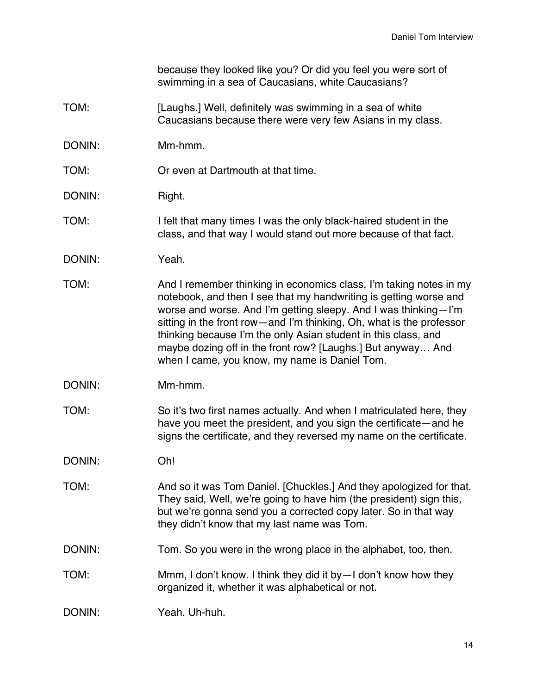because they looked like you? Or did you feel you were sort of swimming in a sea of Caucasians, white Caucasians?

- TOM: [Laughs.] Well, definitely was swimming in a sea of white Caucasians because there were very few Asians in my class.
- DONIN: Mm-hmm.
- TOM: Or even at Dartmouth at that time.
- DONIN: Right.
- TOM: I felt that many times I was the only black-haired student in the class, and that way I would stand out more because of that fact.
- DONIN: Yeah.
- TOM: And I remember thinking in economics class, I'm taking notes in my notebook, and then I see that my handwriting is getting worse and worse and worse. And I'm getting sleepy. And I was thinking—I'm sitting in the front row—and I'm thinking, Oh, what is the professor thinking because I'm the only Asian student in this class, and maybe dozing off in the front row? [Laughs.] But anyway… And when I came, you know, my name is Daniel Tom.
- DONIN: Mm-hmm.
- TOM: So it's two first names actually. And when I matriculated here, they have you meet the president, and you sign the certificate—and he signs the certificate, and they reversed my name on the certificate.
- DONIN: Oh!
- TOM: And so it was Tom Daniel. [Chuckles.] And they apologized for that. They said, Well, we're going to have him (the president) sign this, but we're gonna send you a corrected copy later. So in that way they didn't know that my last name was Tom.
- DONIN: Tom. So you were in the wrong place in the alphabet, too, then.
- TOM: Mmm, I don't know. I think they did it by—I don't know how they organized it, whether it was alphabetical or not.
- DONIN: Yeah. Uh-huh.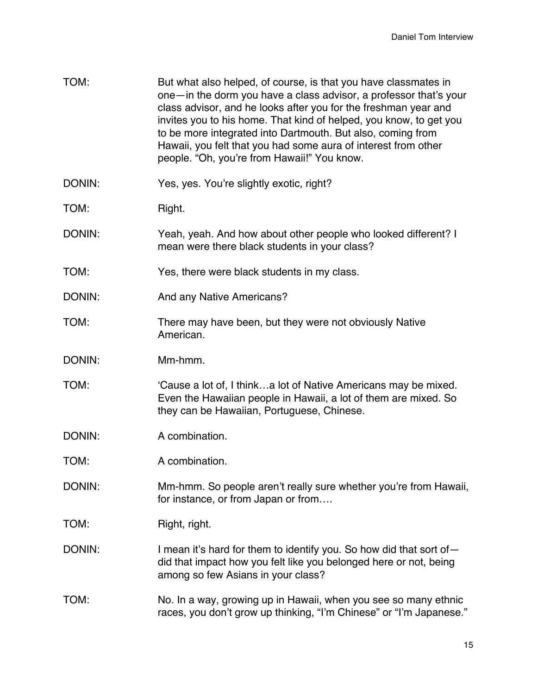| TOM:   | But what also helped, of course, is that you have classmates in<br>one-in the dorm you have a class advisor, a professor that's your<br>class advisor, and he looks after you for the freshman year and<br>invites you to his home. That kind of helped, you know, to get you<br>to be more integrated into Dartmouth. But also, coming from<br>Hawaii, you felt that you had some aura of interest from other<br>people. "Oh, you're from Hawaii!" You know. |
|--------|---------------------------------------------------------------------------------------------------------------------------------------------------------------------------------------------------------------------------------------------------------------------------------------------------------------------------------------------------------------------------------------------------------------------------------------------------------------|
| DONIN: | Yes, yes. You're slightly exotic, right?                                                                                                                                                                                                                                                                                                                                                                                                                      |
| TOM:   | Right.                                                                                                                                                                                                                                                                                                                                                                                                                                                        |
| DONIN: | Yeah, yeah. And how about other people who looked different? I<br>mean were there black students in your class?                                                                                                                                                                                                                                                                                                                                               |
| TOM:   | Yes, there were black students in my class.                                                                                                                                                                                                                                                                                                                                                                                                                   |
| DONIN: | And any Native Americans?                                                                                                                                                                                                                                                                                                                                                                                                                                     |
| TOM:   | There may have been, but they were not obviously Native<br>American.                                                                                                                                                                                                                                                                                                                                                                                          |
| DONIN: | Mm-hmm.                                                                                                                                                                                                                                                                                                                                                                                                                                                       |
| TOM:   | 'Cause a lot of, I thinka lot of Native Americans may be mixed.<br>Even the Hawaiian people in Hawaii, a lot of them are mixed. So<br>they can be Hawaiian, Portuguese, Chinese.                                                                                                                                                                                                                                                                              |
| DONIN: | A combination.                                                                                                                                                                                                                                                                                                                                                                                                                                                |
| TOM:   | A combination.                                                                                                                                                                                                                                                                                                                                                                                                                                                |
| DONIN: | Mm-hmm. So people aren't really sure whether you're from Hawaii,<br>for instance, or from Japan or from                                                                                                                                                                                                                                                                                                                                                       |
| TOM:   | Right, right.                                                                                                                                                                                                                                                                                                                                                                                                                                                 |
| DONIN: | I mean it's hard for them to identify you. So how did that sort of -<br>did that impact how you felt like you belonged here or not, being<br>among so few Asians in your class?                                                                                                                                                                                                                                                                               |
| TOM:   | No. In a way, growing up in Hawaii, when you see so many ethnic<br>races, you don't grow up thinking, "I'm Chinese" or "I'm Japanese."                                                                                                                                                                                                                                                                                                                        |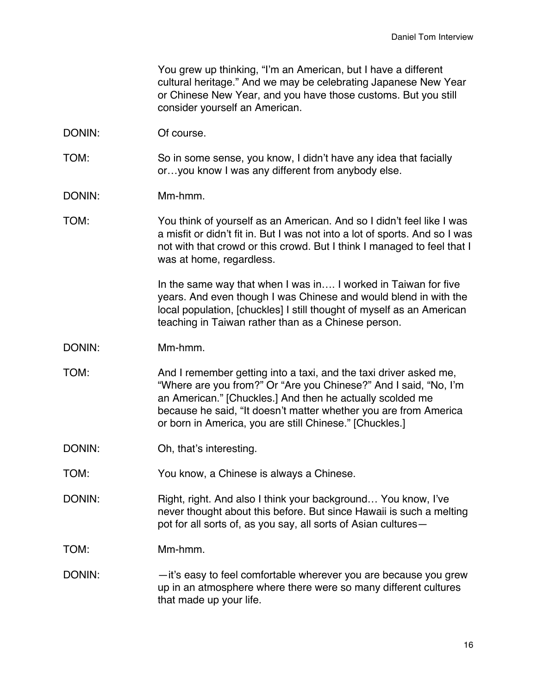You grew up thinking, "I'm an American, but I have a different cultural heritage." And we may be celebrating Japanese New Year or Chinese New Year, and you have those customs. But you still consider yourself an American.

- DONIN: Of course.
- TOM: So in some sense, you know, I didn't have any idea that facially or…you know I was any different from anybody else.
- DONIN: Mm-hmm.
- TOM: You think of yourself as an American. And so I didn't feel like I was a misfit or didn't fit in. But I was not into a lot of sports. And so I was not with that crowd or this crowd. But I think I managed to feel that I was at home, regardless.

In the same way that when I was in.... I worked in Taiwan for five years. And even though I was Chinese and would blend in with the local population, [chuckles] I still thought of myself as an American teaching in Taiwan rather than as a Chinese person.

- DONIN: Mm-hmm.
- TOM: And I remember getting into a taxi, and the taxi driver asked me, "Where are you from?" Or "Are you Chinese?" And I said, "No, I'm an American." [Chuckles.] And then he actually scolded me because he said, "It doesn't matter whether you are from America or born in America, you are still Chinese." [Chuckles.]
- DONIN: Oh, that's interesting.
- TOM: You know, a Chinese is always a Chinese.
- DONIN: Right, right. And also I think your background... You know, I've never thought about this before. But since Hawaii is such a melting pot for all sorts of, as you say, all sorts of Asian cultures—
- TOM: Mm-hmm.
- DONIN: —it's easy to feel comfortable wherever you are because you grew up in an atmosphere where there were so many different cultures that made up your life.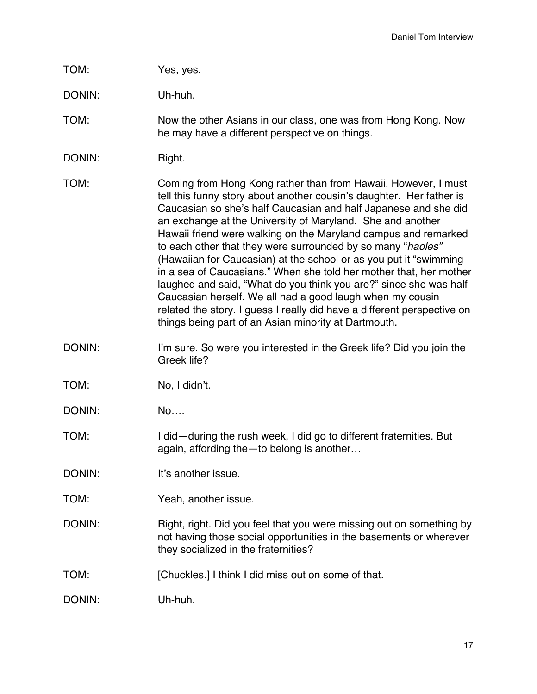| TOM: | Yes, yes. |
|------|-----------|
|------|-----------|

DONIN: Uh-huh.

TOM: Now the other Asians in our class, one was from Hong Kong. Now he may have a different perspective on things.

DONIN: Right.

TOM: Coming from Hong Kong rather than from Hawaii. However, I must tell this funny story about another cousin's daughter. Her father is Caucasian so she's half Caucasian and half Japanese and she did an exchange at the University of Maryland. She and another Hawaii friend were walking on the Maryland campus and remarked to each other that they were surrounded by so many "*haoles"*  (Hawaiian for Caucasian) at the school or as you put it "swimming in a sea of Caucasians." When she told her mother that, her mother laughed and said, "What do you think you are?" since she was half Caucasian herself. We all had a good laugh when my cousin related the story. I guess I really did have a different perspective on things being part of an Asian minority at Dartmouth.

DONIN: I'm sure. So were you interested in the Greek life? Did you join the Greek life?

TOM: No, I didn't.

DONIN: No….

TOM: I did—during the rush week, I did go to different fraternities. But again, affording the—to belong is another…

DONIN: It's another issue.

TOM: Yeah, another issue.

DONIN: Right, right. Did you feel that you were missing out on something by not having those social opportunities in the basements or wherever they socialized in the fraternities?

TOM: [Chuckles.] I think I did miss out on some of that.

DONIN: Uh-huh.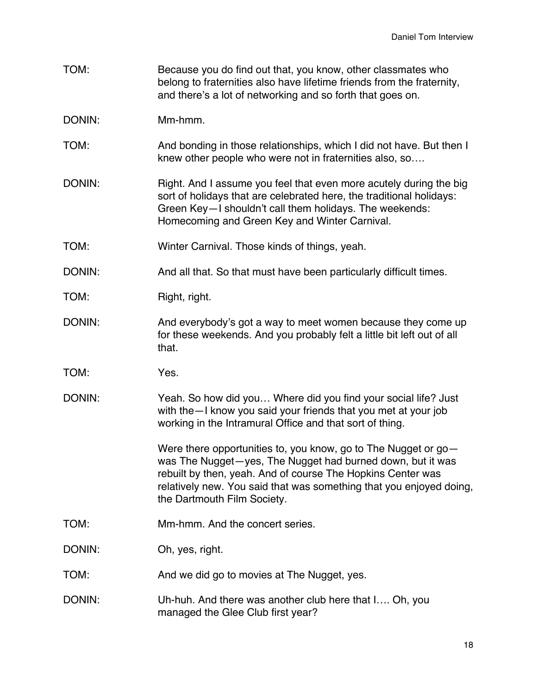- TOM: Because you do find out that, you know, other classmates who belong to fraternities also have lifetime friends from the fraternity, and there's a lot of networking and so forth that goes on.
- DONIN: Mm-hmm.
- TOM: And bonding in those relationships, which I did not have. But then I knew other people who were not in fraternities also, so….
- DONIN: Right. And I assume you feel that even more acutely during the big sort of holidays that are celebrated here, the traditional holidays: Green Key—I shouldn't call them holidays. The weekends: Homecoming and Green Key and Winter Carnival.
- TOM: Winter Carnival. Those kinds of things, yeah.
- DONIN: And all that. So that must have been particularly difficult times.
- TOM: Right, right.
- DONIN: And everybody's got a way to meet women because they come up for these weekends. And you probably felt a little bit left out of all that.
- TOM: Yes.
- DONIN: Yeah. So how did you… Where did you find your social life? Just with the—I know you said your friends that you met at your job working in the Intramural Office and that sort of thing.

Were there opportunities to, you know, go to The Nugget or gowas The Nugget—yes, The Nugget had burned down, but it was rebuilt by then, yeah. And of course The Hopkins Center was relatively new. You said that was something that you enjoyed doing, the Dartmouth Film Society.

- TOM: Mm-hmm. And the concert series.
- DONIN: Oh, yes, right.
- TOM: And we did go to movies at The Nugget, yes.
- DONIN: Uh-huh. And there was another club here that I…. Oh, you managed the Glee Club first year?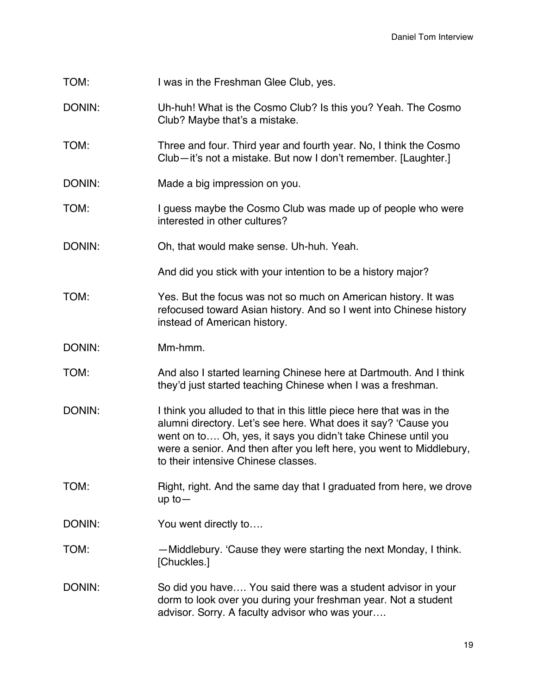| TOM:   | I was in the Freshman Glee Club, yes.                                                                                                                                                                                                                                                                                   |
|--------|-------------------------------------------------------------------------------------------------------------------------------------------------------------------------------------------------------------------------------------------------------------------------------------------------------------------------|
| DONIN: | Uh-huh! What is the Cosmo Club? Is this you? Yeah. The Cosmo<br>Club? Maybe that's a mistake.                                                                                                                                                                                                                           |
| TOM:   | Three and four. Third year and fourth year. No, I think the Cosmo<br>Club-it's not a mistake. But now I don't remember. [Laughter.]                                                                                                                                                                                     |
| DONIN: | Made a big impression on you.                                                                                                                                                                                                                                                                                           |
| TOM:   | I guess maybe the Cosmo Club was made up of people who were<br>interested in other cultures?                                                                                                                                                                                                                            |
| DONIN: | Oh, that would make sense. Uh-huh. Yeah.                                                                                                                                                                                                                                                                                |
|        | And did you stick with your intention to be a history major?                                                                                                                                                                                                                                                            |
| TOM:   | Yes. But the focus was not so much on American history. It was<br>refocused toward Asian history. And so I went into Chinese history<br>instead of American history.                                                                                                                                                    |
| DONIN: | Mm-hmm.                                                                                                                                                                                                                                                                                                                 |
| TOM:   | And also I started learning Chinese here at Dartmouth. And I think<br>they'd just started teaching Chinese when I was a freshman.                                                                                                                                                                                       |
| DONIN: | I think you alluded to that in this little piece here that was in the<br>alumni directory. Let's see here. What does it say? 'Cause you<br>went on to Oh, yes, it says you didn't take Chinese until you<br>were a senior. And then after you left here, you went to Middlebury,<br>to their intensive Chinese classes. |
| TOM:   | Right, right. And the same day that I graduated from here, we drove<br>$up$ to $-$                                                                                                                                                                                                                                      |
| DONIN: | You went directly to                                                                                                                                                                                                                                                                                                    |
| TOM:   | -Middlebury. 'Cause they were starting the next Monday, I think.<br>[Chuckles.]                                                                                                                                                                                                                                         |
| DONIN: | So did you have You said there was a student advisor in your<br>dorm to look over you during your freshman year. Not a student<br>advisor. Sorry. A faculty advisor who was your                                                                                                                                        |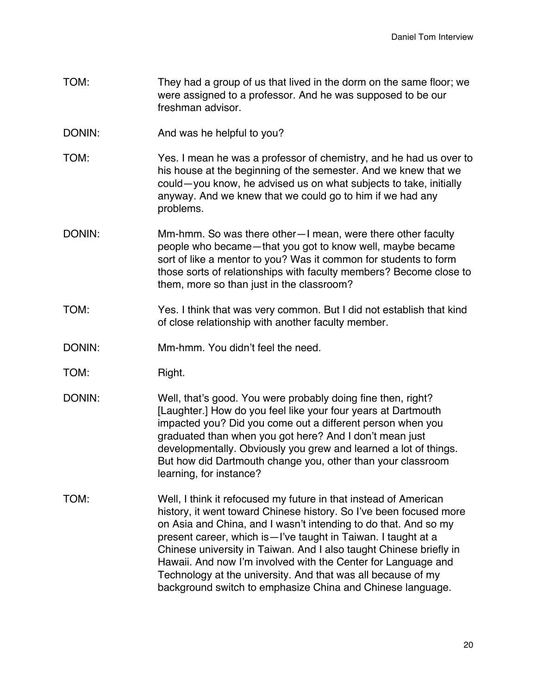- TOM: They had a group of us that lived in the dorm on the same floor; we were assigned to a professor. And he was supposed to be our freshman advisor.
- DONIN: And was he helpful to you?
- TOM: Yes. I mean he was a professor of chemistry, and he had us over to his house at the beginning of the semester. And we knew that we could—you know, he advised us on what subjects to take, initially anyway. And we knew that we could go to him if we had any problems.
- DONIN: Mm-hmm. So was there other—I mean, were there other faculty people who became—that you got to know well, maybe became sort of like a mentor to you? Was it common for students to form those sorts of relationships with faculty members? Become close to them, more so than just in the classroom?
- TOM: Yes. I think that was very common. But I did not establish that kind of close relationship with another faculty member.
- DONIN: Mm-hmm. You didn't feel the need.
- TOM: Right.
- DONIN: Well, that's good. You were probably doing fine then, right? [Laughter.] How do you feel like your four years at Dartmouth impacted you? Did you come out a different person when you graduated than when you got here? And I don't mean just developmentally. Obviously you grew and learned a lot of things. But how did Dartmouth change you, other than your classroom learning, for instance?
- TOM: Well, I think it refocused my future in that instead of American history, it went toward Chinese history. So I've been focused more on Asia and China, and I wasn't intending to do that. And so my present career, which is—I've taught in Taiwan. I taught at a Chinese university in Taiwan. And I also taught Chinese briefly in Hawaii. And now I'm involved with the Center for Language and Technology at the university. And that was all because of my background switch to emphasize China and Chinese language.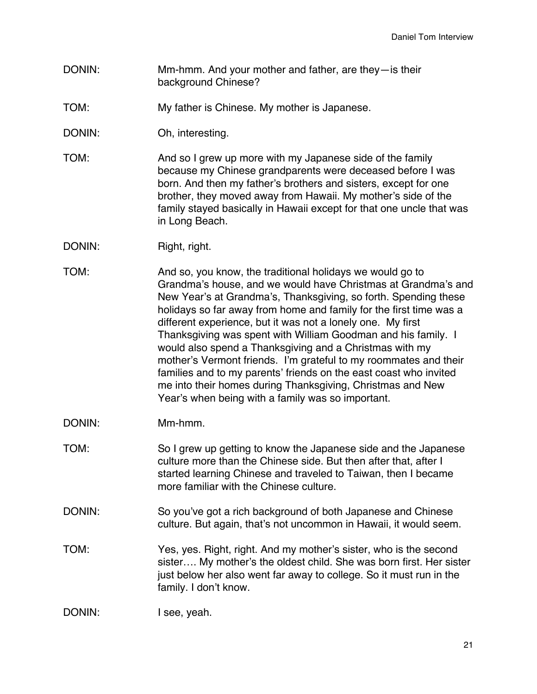- DONIN: Mm-hmm. And your mother and father, are they—is their background Chinese?
- TOM: My father is Chinese. My mother is Japanese.
- DONIN: Oh, interesting.
- TOM: And so I grew up more with my Japanese side of the family because my Chinese grandparents were deceased before I was born. And then my father's brothers and sisters, except for one brother, they moved away from Hawaii. My mother's side of the family stayed basically in Hawaii except for that one uncle that was in Long Beach.
- DONIN: Right, right.
- TOM: And so, you know, the traditional holidays we would go to Grandma's house, and we would have Christmas at Grandma's and New Year's at Grandma's, Thanksgiving, so forth. Spending these holidays so far away from home and family for the first time was a different experience, but it was not a lonely one. My first Thanksgiving was spent with William Goodman and his family. I would also spend a Thanksgiving and a Christmas with my mother's Vermont friends. I'm grateful to my roommates and their families and to my parents' friends on the east coast who invited me into their homes during Thanksgiving, Christmas and New Year's when being with a family was so important.
- DONIN: Mm-hmm.
- TOM: So I grew up getting to know the Japanese side and the Japanese culture more than the Chinese side. But then after that, after I started learning Chinese and traveled to Taiwan, then I became more familiar with the Chinese culture.
- DONIN: So you've got a rich background of both Japanese and Chinese culture. But again, that's not uncommon in Hawaii, it would seem.
- TOM: Yes, yes. Right, right. And my mother's sister, who is the second sister…. My mother's the oldest child. She was born first. Her sister just below her also went far away to college. So it must run in the family. I don't know.

```
DONIN: I see, yeah.
```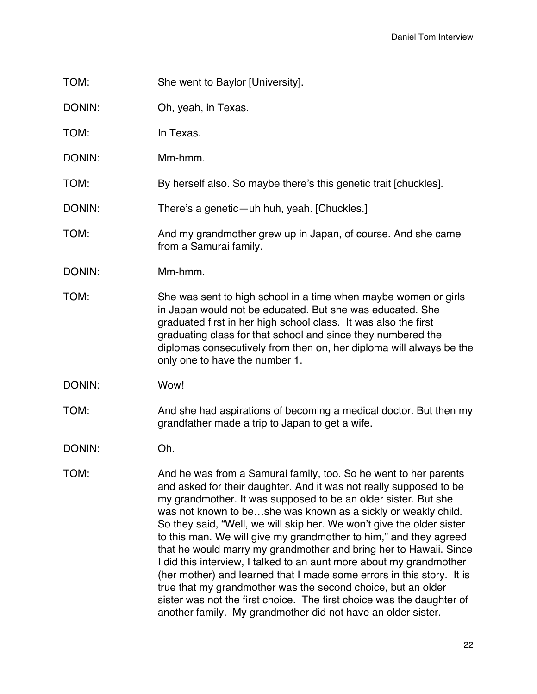- TOM: She went to Baylor [University].
- DONIN: Oh, yeah, in Texas.

TOM: In Texas.

DONIN: Mm-hmm.

TOM: By herself also. So maybe there's this genetic trait [chuckles].

DONIN: There's a genetic—uh huh, yeah. [Chuckles.]

- TOM: And my grandmother grew up in Japan, of course. And she came from a Samurai family.
- DONIN: Mm-hmm.
- TOM: She was sent to high school in a time when maybe women or girls in Japan would not be educated. But she was educated. She graduated first in her high school class. It was also the first graduating class for that school and since they numbered the diplomas consecutively from then on, her diploma will always be the only one to have the number 1.
- DONIN: Wow!
- TOM: And she had aspirations of becoming a medical doctor. But then my grandfather made a trip to Japan to get a wife.

DONIN: Oh.

TOM: And he was from a Samurai family, too. So he went to her parents and asked for their daughter. And it was not really supposed to be my grandmother. It was supposed to be an older sister. But she was not known to be…she was known as a sickly or weakly child. So they said, "Well, we will skip her. We won't give the older sister to this man. We will give my grandmother to him," and they agreed that he would marry my grandmother and bring her to Hawaii. Since I did this interview, I talked to an aunt more about my grandmother (her mother) and learned that I made some errors in this story. It is true that my grandmother was the second choice, but an older sister was not the first choice. The first choice was the daughter of another family. My grandmother did not have an older sister.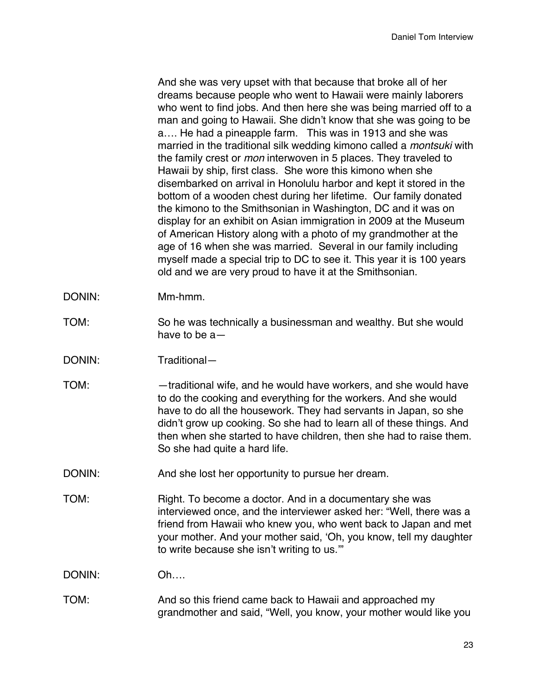And she was very upset with that because that broke all of her dreams because people who went to Hawaii were mainly laborers who went to find jobs. And then here she was being married off to a man and going to Hawaii. She didn't know that she was going to be a…. He had a pineapple farm. This was in 1913 and she was married in the traditional silk wedding kimono called a *montsuki* with the family crest or *mon* interwoven in 5 places. They traveled to Hawaii by ship, first class. She wore this kimono when she disembarked on arrival in Honolulu harbor and kept it stored in the bottom of a wooden chest during her lifetime. Our family donated the kimono to the Smithsonian in Washington, DC and it was on display for an exhibit on Asian immigration in 2009 at the Museum of American History along with a photo of my grandmother at the age of 16 when she was married. Several in our family including myself made a special trip to DC to see it. This year it is 100 years old and we are very proud to have it at the Smithsonian.

- DONIN: Mm-hmm.
- TOM: So he was technically a businessman and wealthy. But she would have to be a—
- DONIN: Traditional—
- TOM: —traditional wife, and he would have workers, and she would have to do the cooking and everything for the workers. And she would have to do all the housework. They had servants in Japan, so she didn't grow up cooking. So she had to learn all of these things. And then when she started to have children, then she had to raise them. So she had quite a hard life.
- DONIN: And she lost her opportunity to pursue her dream.
- TOM: Right. To become a doctor. And in a documentary she was interviewed once, and the interviewer asked her: "Well, there was a friend from Hawaii who knew you, who went back to Japan and met your mother. And your mother said, 'Oh, you know, tell my daughter to write because she isn't writing to us.'"

DONIN: Oh….

TOM: And so this friend came back to Hawaii and approached my grandmother and said, "Well, you know, your mother would like you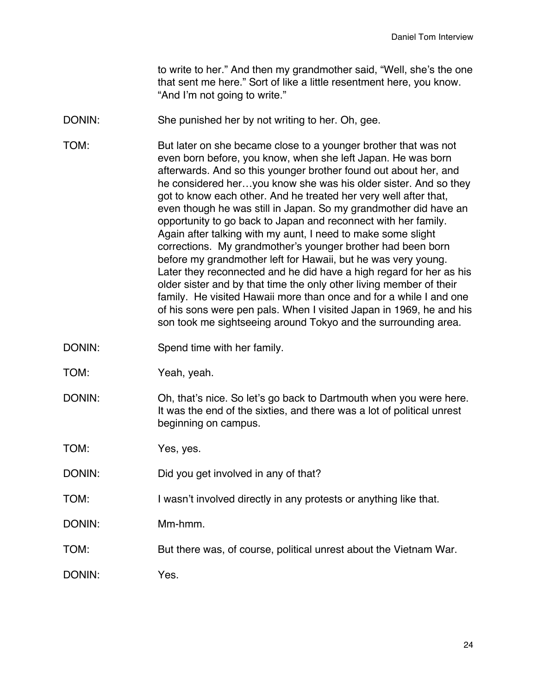to write to her." And then my grandmother said, "Well, she's the one that sent me here." Sort of like a little resentment here, you know. "And I'm not going to write."

DONIN: She punished her by not writing to her. Oh, gee.

TOM: But later on she became close to a younger brother that was not even born before, you know, when she left Japan. He was born afterwards. And so this younger brother found out about her, and he considered her…you know she was his older sister. And so they got to know each other. And he treated her very well after that, even though he was still in Japan. So my grandmother did have an opportunity to go back to Japan and reconnect with her family. Again after talking with my aunt, I need to make some slight corrections. My grandmother's younger brother had been born before my grandmother left for Hawaii, but he was very young. Later they reconnected and he did have a high regard for her as his older sister and by that time the only other living member of their family. He visited Hawaii more than once and for a while I and one of his sons were pen pals. When I visited Japan in 1969, he and his son took me sightseeing around Tokyo and the surrounding area.

- DONIN: Spend time with her family.
- TOM: Yeah, yeah.
- DONIN: Oh, that's nice. So let's go back to Dartmouth when you were here. It was the end of the sixties, and there was a lot of political unrest beginning on campus.

TOM: Yes, yes.

- DONIN: Did you get involved in any of that?
- TOM: I wasn't involved directly in any protests or anything like that.
- DONIN: Mm-hmm.
- TOM: But there was, of course, political unrest about the Vietnam War.

DONIN: Yes.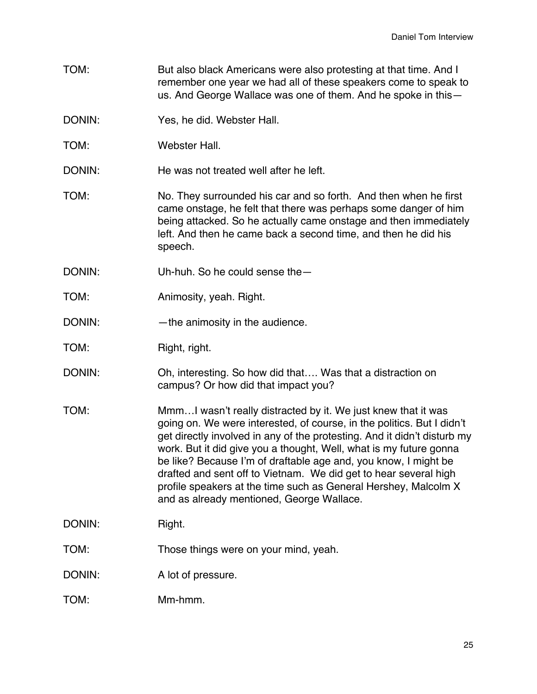- TOM: But also black Americans were also protesting at that time. And I remember one year we had all of these speakers come to speak to us. And George Wallace was one of them. And he spoke in this—
- DONIN: Yes, he did. Webster Hall.
- TOM: Webster Hall.
- DONIN: He was not treated well after he left.
- TOM: No. They surrounded his car and so forth. And then when he first came onstage, he felt that there was perhaps some danger of him being attacked. So he actually came onstage and then immediately left. And then he came back a second time, and then he did his speech.
- DONIN: Uh-huh. So he could sense the —
- TOM: Animosity, yeah. Right.
- DONIN: —the animosity in the audience.
- TOM: Right, right.
- DONIN: Oh, interesting. So how did that.... Was that a distraction on campus? Or how did that impact you?
- TOM: Mmm…I wasn't really distracted by it. We just knew that it was going on. We were interested, of course, in the politics. But I didn't get directly involved in any of the protesting. And it didn't disturb my work. But it did give you a thought, Well, what is my future gonna be like? Because I'm of draftable age and, you know, I might be drafted and sent off to Vietnam. We did get to hear several high profile speakers at the time such as General Hershey, Malcolm X and as already mentioned, George Wallace.
- DONIN: Right.
- TOM: Those things were on your mind, yeah.
- DONIN: A lot of pressure.
- TOM: Mm-hmm.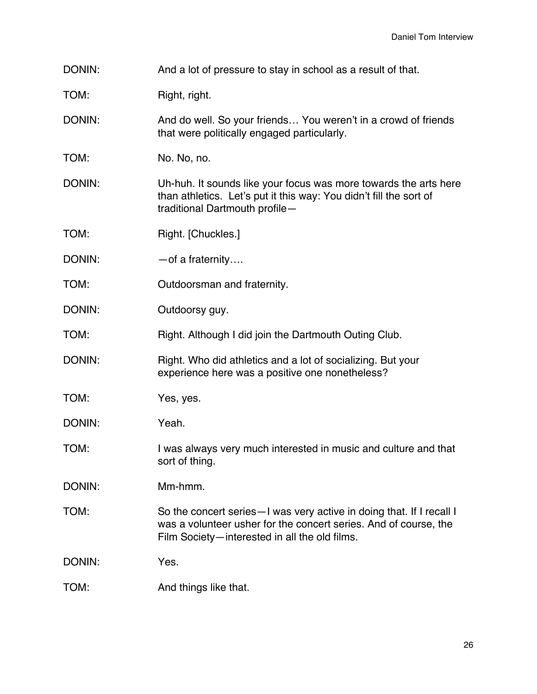| DONIN: | And a lot of pressure to stay in school as a result of that. |
|--------|--------------------------------------------------------------|
|--------|--------------------------------------------------------------|

TOM: Right, right.

DONIN: And do well. So your friends... You weren't in a crowd of friends that were politically engaged particularly.

TOM: No. No, no.

DONIN: Uh-huh. It sounds like your focus was more towards the arts here than athletics. Let's put it this way: You didn't fill the sort of traditional Dartmouth profile—

TOM: Right. [Chuckles.]

DONIN: — — of a fraternity....

TOM: Outdoorsman and fraternity.

DONIN: Outdoorsy guy.

TOM: Right. Although I did join the Dartmouth Outing Club.

DONIN: Right. Who did athletics and a lot of socializing. But your experience here was a positive one nonetheless?

TOM: Yes, yes.

DONIN: Yeah.

TOM: I was always very much interested in music and culture and that sort of thing.

DONIN: Mm-hmm.

TOM: So the concert series—I was very active in doing that. If I recall I was a volunteer usher for the concert series. And of course, the Film Society—interested in all the old films.

DONIN: Yes.

TOM: And things like that.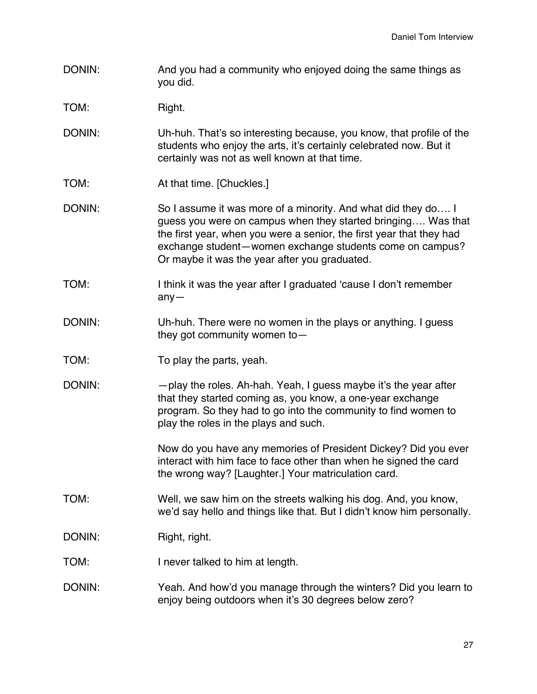DONIN: And you had a community who enjoyed doing the same things as you did.

TOM: Right.

- DONIN: Uh-huh. That's so interesting because, you know, that profile of the students who enjoy the arts, it's certainly celebrated now. But it certainly was not as well known at that time.
- TOM: **At that time.** [Chuckles.]
- DONIN: So I assume it was more of a minority. And what did they do.... I guess you were on campus when they started bringing…. Was that the first year, when you were a senior, the first year that they had exchange student—women exchange students come on campus? Or maybe it was the year after you graduated.
- TOM: I think it was the year after I graduated 'cause I don't remember any—
- DONIN: Uh-huh. There were no women in the plays or anything. I guess they got community women to—
- TOM: To play the parts, yeah.
- DONIN: —play the roles. Ah-hah. Yeah, I guess maybe it's the year after that they started coming as, you know, a one-year exchange program. So they had to go into the community to find women to play the roles in the plays and such.

Now do you have any memories of President Dickey? Did you ever interact with him face to face other than when he signed the card the wrong way? [Laughter.] Your matriculation card.

- TOM: Well, we saw him on the streets walking his dog. And, you know, we'd say hello and things like that. But I didn't know him personally.
- DONIN: Right, right.
- TOM: I never talked to him at length.
- DONIN: Yeah. And how'd you manage through the winters? Did you learn to enjoy being outdoors when it's 30 degrees below zero?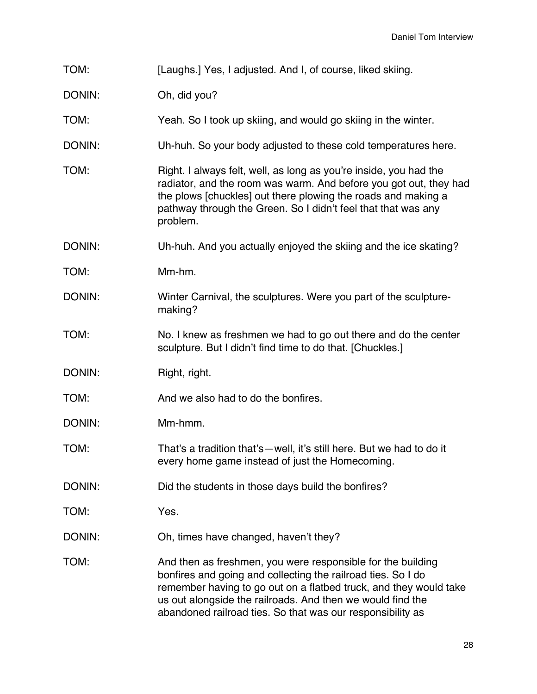| TOM:   | [Laughs.] Yes, I adjusted. And I, of course, liked skiing.                                                                                                                                                                                                                                                                   |
|--------|------------------------------------------------------------------------------------------------------------------------------------------------------------------------------------------------------------------------------------------------------------------------------------------------------------------------------|
| DONIN: | Oh, did you?                                                                                                                                                                                                                                                                                                                 |
| TOM:   | Yeah. So I took up skiing, and would go skiing in the winter.                                                                                                                                                                                                                                                                |
| DONIN: | Uh-huh. So your body adjusted to these cold temperatures here.                                                                                                                                                                                                                                                               |
| TOM:   | Right. I always felt, well, as long as you're inside, you had the<br>radiator, and the room was warm. And before you got out, they had<br>the plows [chuckles] out there plowing the roads and making a<br>pathway through the Green. So I didn't feel that that was any<br>problem.                                         |
| DONIN: | Uh-huh. And you actually enjoyed the skiing and the ice skating?                                                                                                                                                                                                                                                             |
| TOM:   | Mm-hm.                                                                                                                                                                                                                                                                                                                       |
| DONIN: | Winter Carnival, the sculptures. Were you part of the sculpture-<br>making?                                                                                                                                                                                                                                                  |
| TOM:   | No. I knew as freshmen we had to go out there and do the center<br>sculpture. But I didn't find time to do that. [Chuckles.]                                                                                                                                                                                                 |
| DONIN: | Right, right.                                                                                                                                                                                                                                                                                                                |
| TOM:   | And we also had to do the bonfires.                                                                                                                                                                                                                                                                                          |
| DONIN: | Mm-hmm.                                                                                                                                                                                                                                                                                                                      |
| TOM:   | That's a tradition that's—well, it's still here. But we had to do it<br>every home game instead of just the Homecoming.                                                                                                                                                                                                      |
| DONIN: | Did the students in those days build the bonfires?                                                                                                                                                                                                                                                                           |
| TOM:   | Yes.                                                                                                                                                                                                                                                                                                                         |
| DONIN: | Oh, times have changed, haven't they?                                                                                                                                                                                                                                                                                        |
| TOM:   | And then as freshmen, you were responsible for the building<br>bonfires and going and collecting the railroad ties. So I do<br>remember having to go out on a flatbed truck, and they would take<br>us out alongside the railroads. And then we would find the<br>abandoned railroad ties. So that was our responsibility as |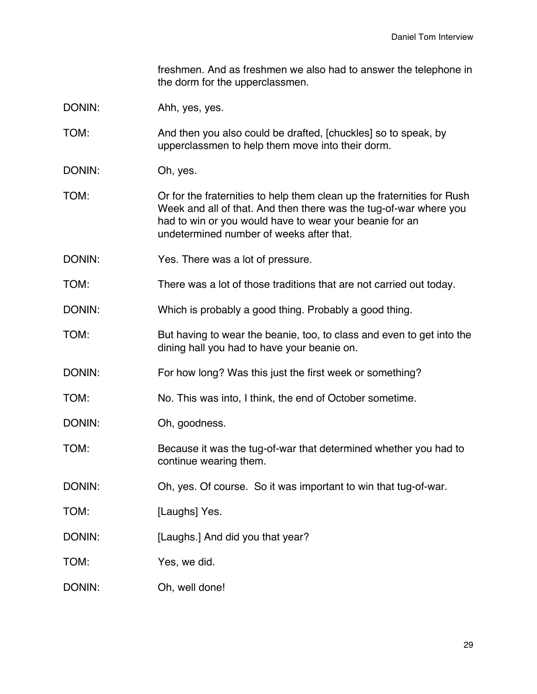freshmen. And as freshmen we also had to answer the telephone in the dorm for the upperclassmen.

DONIN: Ahh, yes, yes.

TOM: And then you also could be drafted, [chuckles] so to speak, by upperclassmen to help them move into their dorm.

DONIN: Oh, yes.

TOM: Or for the fraternities to help them clean up the fraternities for Rush Week and all of that. And then there was the tug-of-war where you had to win or you would have to wear your beanie for an undetermined number of weeks after that.

DONIN: Yes. There was a lot of pressure.

TOM: There was a lot of those traditions that are not carried out today.

DONIN: Which is probably a good thing. Probably a good thing.

TOM: But having to wear the beanie, too, to class and even to get into the dining hall you had to have your beanie on.

DONIN: For how long? Was this just the first week or something?

TOM: No. This was into, I think, the end of October sometime.

DONIN: Oh, goodness.

TOM: Because it was the tug-of-war that determined whether you had to continue wearing them.

DONIN: Oh, yes. Of course. So it was important to win that tug-of-war.

TOM: [Laughs] Yes.

DONIN: [Laughs.] And did you that year?

TOM: Yes, we did.

DONIN: Oh, well done!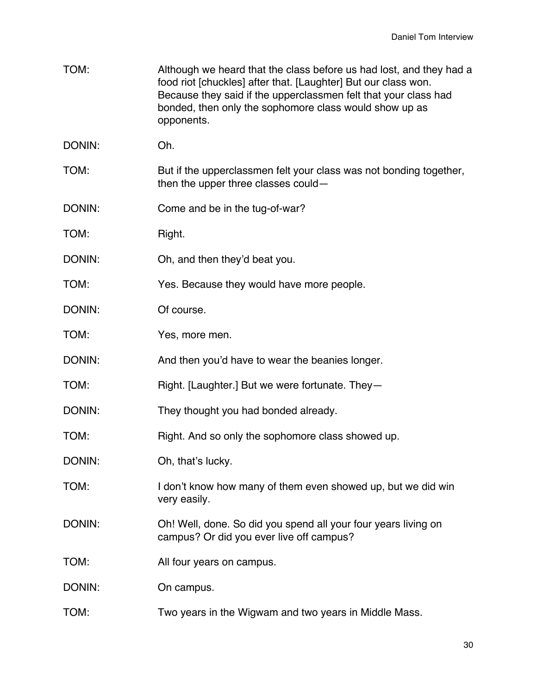| TOM:   | Although we heard that the class before us had lost, and they had a<br>food riot [chuckles] after that. [Laughter] But our class won.<br>Because they said if the upperclassmen felt that your class had<br>bonded, then only the sophomore class would show up as<br>opponents. |
|--------|----------------------------------------------------------------------------------------------------------------------------------------------------------------------------------------------------------------------------------------------------------------------------------|
| DONIN: | Oh.                                                                                                                                                                                                                                                                              |
| TOM:   | But if the upperclassmen felt your class was not bonding together,<br>then the upper three classes could-                                                                                                                                                                        |
| DONIN: | Come and be in the tug-of-war?                                                                                                                                                                                                                                                   |
| TOM:   | Right.                                                                                                                                                                                                                                                                           |
| DONIN: | Oh, and then they'd beat you.                                                                                                                                                                                                                                                    |
| TOM:   | Yes. Because they would have more people.                                                                                                                                                                                                                                        |
| DONIN: | Of course.                                                                                                                                                                                                                                                                       |
| TOM:   | Yes, more men.                                                                                                                                                                                                                                                                   |
| DONIN: | And then you'd have to wear the beanies longer.                                                                                                                                                                                                                                  |
| TOM:   | Right. [Laughter.] But we were fortunate. They-                                                                                                                                                                                                                                  |
| DONIN: | They thought you had bonded already.                                                                                                                                                                                                                                             |
| TOM:   | Right. And so only the sophomore class showed up.                                                                                                                                                                                                                                |
| DONIN: | Oh, that's lucky.                                                                                                                                                                                                                                                                |
| TOM:   | I don't know how many of them even showed up, but we did win<br>very easily.                                                                                                                                                                                                     |
| DONIN: | Oh! Well, done. So did you spend all your four years living on<br>campus? Or did you ever live off campus?                                                                                                                                                                       |
| TOM:   | All four years on campus.                                                                                                                                                                                                                                                        |
| DONIN: | On campus.                                                                                                                                                                                                                                                                       |
| TOM:   | Two years in the Wigwam and two years in Middle Mass.                                                                                                                                                                                                                            |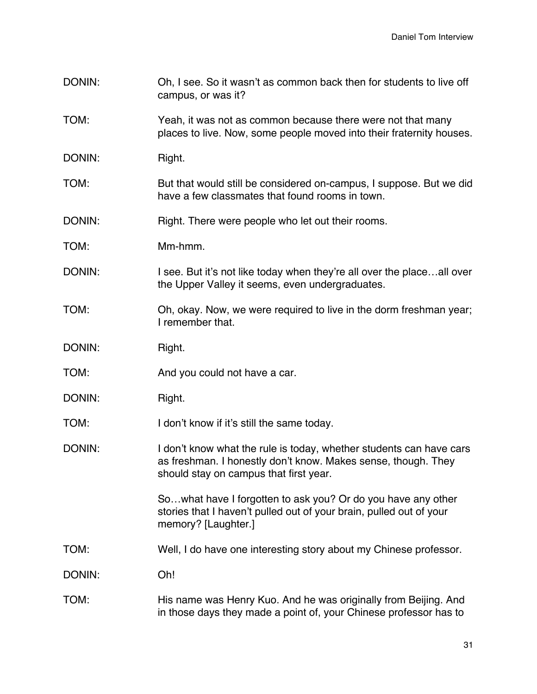- DONIN: Oh, I see. So it wasn't as common back then for students to live off campus, or was it?
- TOM: Yeah, it was not as common because there were not that many places to live. Now, some people moved into their fraternity houses.
- DONIN: Right.
- TOM: But that would still be considered on-campus, I suppose. But we did have a few classmates that found rooms in town.
- DONIN: Right. There were people who let out their rooms.
- TOM: Mm-hmm.
- DONIN: I see. But it's not like today when they're all over the place...all over the Upper Valley it seems, even undergraduates.
- TOM: Oh, okay. Now, we were required to live in the dorm freshman year; I remember that.
- DONIN: Right.
- TOM: Notice a carrelate a carrelation of the Andrew and TOM:
- DONIN: Right.
- TOM: I don't know if it's still the same today.
- DONIN: I don't know what the rule is today, whether students can have cars as freshman. I honestly don't know. Makes sense, though. They should stay on campus that first year.

So…what have I forgotten to ask you? Or do you have any other stories that I haven't pulled out of your brain, pulled out of your memory? [Laughter.]

- TOM: Well, I do have one interesting story about my Chinese professor.
- DONIN: Oh!
- TOM: His name was Henry Kuo. And he was originally from Beijing. And in those days they made a point of, your Chinese professor has to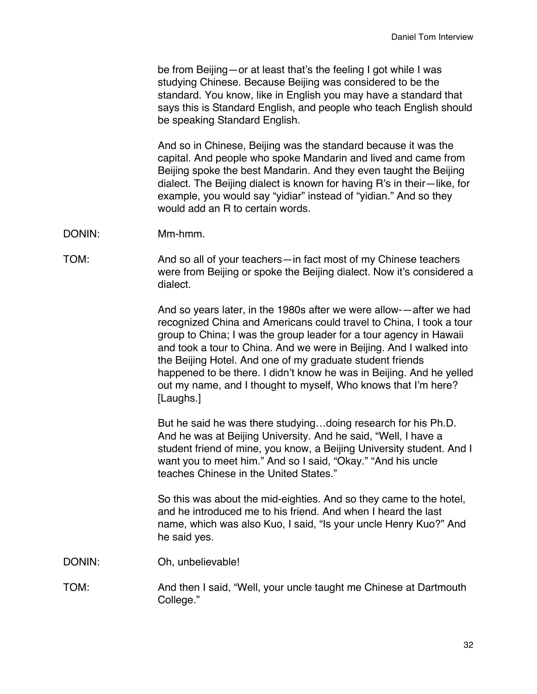be from Beijing—or at least that's the feeling I got while I was studying Chinese. Because Beijing was considered to be the standard. You know, like in English you may have a standard that says this is Standard English, and people who teach English should be speaking Standard English.

And so in Chinese, Beijing was the standard because it was the capital. And people who spoke Mandarin and lived and came from Beijing spoke the best Mandarin. And they even taught the Beijing dialect. The Beijing dialect is known for having R's in their—like, for example, you would say "yidiar" instead of "yidian." And so they would add an R to certain words.

- DONIN: Mm-hmm.
- TOM: And so all of your teachers—in fact most of my Chinese teachers were from Beijing or spoke the Beijing dialect. Now it's considered a dialect.

And so years later, in the 1980s after we were allow-—after we had recognized China and Americans could travel to China, I took a tour group to China; I was the group leader for a tour agency in Hawaii and took a tour to China. And we were in Beijing. And I walked into the Beijing Hotel. And one of my graduate student friends happened to be there. I didn't know he was in Beijing. And he yelled out my name, and I thought to myself, Who knows that I'm here? [Laughs.]

But he said he was there studying…doing research for his Ph.D. And he was at Beijing University. And he said, "Well, I have a student friend of mine, you know, a Beijing University student. And I want you to meet him." And so I said, "Okay." "And his uncle teaches Chinese in the United States."

So this was about the mid-eighties. And so they came to the hotel, and he introduced me to his friend. And when I heard the last name, which was also Kuo, I said, "Is your uncle Henry Kuo?" And he said yes.

DONIN: Oh, unbelievable!

TOM: And then I said, "Well, your uncle taught me Chinese at Dartmouth College."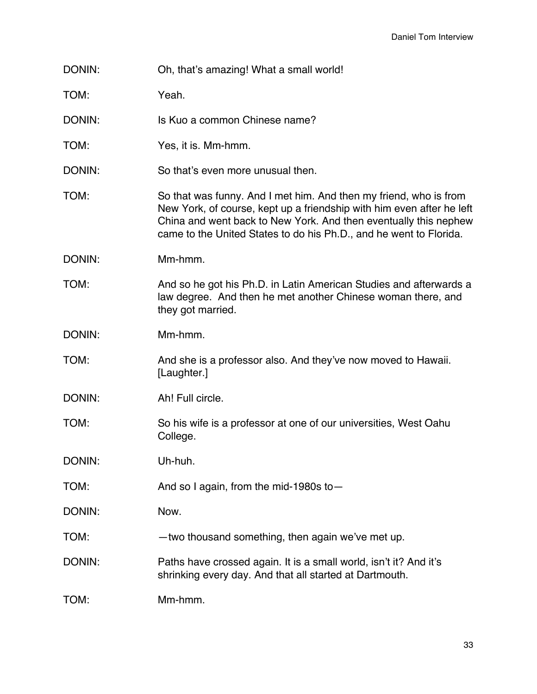| DONIN: | Oh, that's amazing! What a small world! |
|--------|-----------------------------------------|
|--------|-----------------------------------------|

TOM: Yeah.

DONIN: Is Kuo a common Chinese name?

TOM: Yes, it is. Mm-hmm.

DONIN: So that's even more unusual then.

TOM: So that was funny. And I met him. And then my friend, who is from New York, of course, kept up a friendship with him even after he left China and went back to New York. And then eventually this nephew came to the United States to do his Ph.D., and he went to Florida.

DONIN: Mm-hmm.

TOM: And so he got his Ph.D. in Latin American Studies and afterwards a law degree. And then he met another Chinese woman there, and they got married.

DONIN: Mm-hmm.

TOM: And she is a professor also. And they've now moved to Hawaii. [Laughter.]

DONIN: Ah! Full circle.

TOM: So his wife is a professor at one of our universities, West Oahu College.

DONIN: Uh-huh.

TOM: And so I again, from the mid-1980s to—

DONIN: Now.

TOM: —two thousand something, then again we've met up.

DONIN: Paths have crossed again. It is a small world, isn't it? And it's shrinking every day. And that all started at Dartmouth.

TOM: Mm-hmm.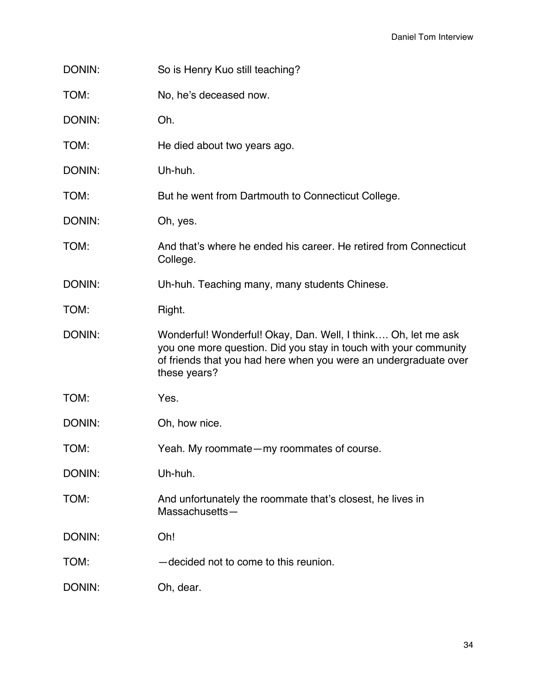| DONIN: | So is Henry Kuo still teaching?                                                                                                                                                                                       |
|--------|-----------------------------------------------------------------------------------------------------------------------------------------------------------------------------------------------------------------------|
| TOM:   | No, he's deceased now.                                                                                                                                                                                                |
| DONIN: | Oh.                                                                                                                                                                                                                   |
| TOM:   | He died about two years ago.                                                                                                                                                                                          |
| DONIN: | Uh-huh.                                                                                                                                                                                                               |
| TOM:   | But he went from Dartmouth to Connecticut College.                                                                                                                                                                    |
| DONIN: | Oh, yes.                                                                                                                                                                                                              |
| TOM:   | And that's where he ended his career. He retired from Connecticut<br>College.                                                                                                                                         |
| DONIN: | Uh-huh. Teaching many, many students Chinese.                                                                                                                                                                         |
| TOM:   | Right.                                                                                                                                                                                                                |
| DONIN: | Wonderful! Wonderful! Okay, Dan. Well, I think Oh, let me ask<br>you one more question. Did you stay in touch with your community<br>of friends that you had here when you were an undergraduate over<br>these years? |
| TOM:   | Yes.                                                                                                                                                                                                                  |
| DONIN: | Oh, how nice.                                                                                                                                                                                                         |
| TOM:   | Yeah. My roommate - my roommates of course.                                                                                                                                                                           |
| DONIN: | Uh-huh.                                                                                                                                                                                                               |
| TOM:   | And unfortunately the roommate that's closest, he lives in<br>Massachusetts-                                                                                                                                          |
| DONIN: | Oh!                                                                                                                                                                                                                   |
| TOM:   | -decided not to come to this reunion.                                                                                                                                                                                 |
| DONIN: | Oh, dear.                                                                                                                                                                                                             |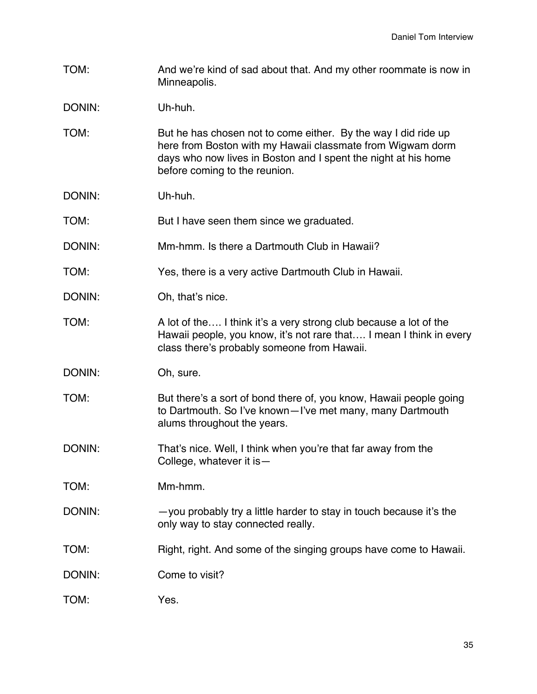TOM: And we're kind of sad about that. And my other roommate is now in Minneapolis.

DONIN: Uh-huh.

- TOM: But he has chosen not to come either. By the way I did ride up here from Boston with my Hawaii classmate from Wigwam dorm days who now lives in Boston and I spent the night at his home before coming to the reunion.
- DONIN: Uh-huh.

TOM: But I have seen them since we graduated.

- DONIN: Mm-hmm. Is there a Dartmouth Club in Hawaii?
- TOM: Yes, there is a very active Dartmouth Club in Hawaii.
- DONIN: Oh, that's nice.
- TOM: A lot of the…. I think it's a very strong club because a lot of the Hawaii people, you know, it's not rare that…. I mean I think in every class there's probably someone from Hawaii.
- DONIN: Oh, sure.
- TOM: But there's a sort of bond there of, you know, Hawaii people going to Dartmouth. So I've known—I've met many, many Dartmouth alums throughout the years.
- DONIN: That's nice. Well, I think when you're that far away from the College, whatever it is—
- TOM: Mm-hmm.
- DONIN: you probably try a little harder to stay in touch because it's the only way to stay connected really.
- TOM: Right, right. And some of the singing groups have come to Hawaii.
- DONIN: Come to visit?
- TOM: Yes.